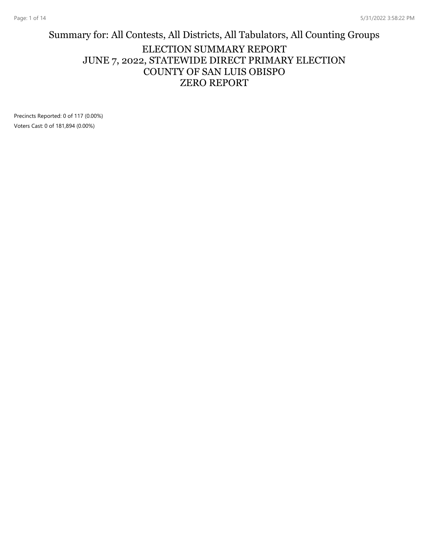#### Summary for: All Contests, All Districts, All Tabulators, All Counting Groups ELECTION SUMMARY REPORT JUNE 7, 2022, STATEWIDE DIRECT PRIMARY ELECTION COUNTY OF SAN LUIS OBISPO ZERO REPORT

Precincts Reported: 0 of 117 (0.00%) Voters Cast: 0 of 181,894 (0.00%)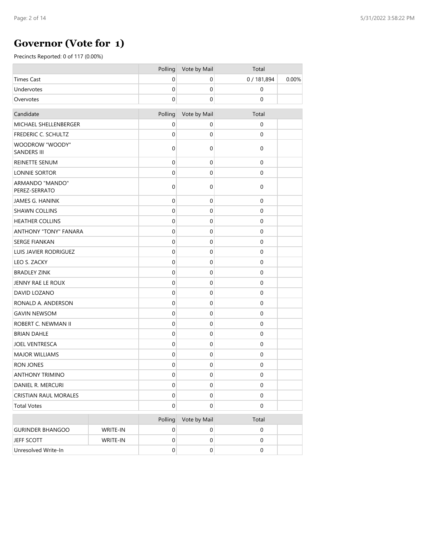## **Governor (Vote for 1)**

|                                       |          | Polling          | Vote by Mail     | Total               |       |
|---------------------------------------|----------|------------------|------------------|---------------------|-------|
| <b>Times Cast</b>                     |          | 0                | 0                | 0 / 181,894         | 0.00% |
| Undervotes                            |          | $\mathbf 0$      | $\mathbf 0$      | $\pmb{0}$           |       |
| Overvotes                             |          | $\mathbf 0$      | 0                | 0                   |       |
| Candidate                             |          | Polling          | Vote by Mail     | Total               |       |
| MICHAEL SHELLENBERGER                 |          | 0                | 0                | 0                   |       |
| FREDERIC C. SCHULTZ                   |          | $\mathbf 0$      | $\mathbf 0$      | 0                   |       |
| WOODROW "WOODY"<br><b>SANDERS III</b> |          | 0                | 0                | $\boldsymbol{0}$    |       |
| <b>REINETTE SENUM</b>                 |          | $\mathbf 0$      | $\boldsymbol{0}$ | 0                   |       |
| LONNIE SORTOR                         |          | $\mathbf 0$      | $\mathbf 0$      | $\mathsf{O}\xspace$ |       |
| ARMANDO "MANDO"<br>PEREZ-SERRATO      |          | 0                | 0                | 0                   |       |
| JAMES G. HANINK                       |          | $\mathbf 0$      | $\boldsymbol{0}$ | $\pmb{0}$           |       |
| <b>SHAWN COLLINS</b>                  |          | $\mathbf 0$      | $\mathbf 0$      | 0                   |       |
| <b>HEATHER COLLINS</b>                |          | $\mathbf 0$      | 0                | $\pmb{0}$           |       |
| <b>ANTHONY "TONY" FANARA</b>          |          | $\mathbf 0$      | $\mathbf 0$      | $\boldsymbol{0}$    |       |
| <b>SERGE FIANKAN</b>                  |          | $\mathbf 0$      | $\boldsymbol{0}$ | $\pmb{0}$           |       |
| <b>LUIS JAVIER RODRIGUEZ</b>          |          | $\mathbf 0$      | $\mathbf 0$      | 0                   |       |
| LEO S. ZACKY                          |          | $\mathbf 0$      | $\mathbf 0$      | 0                   |       |
| <b>BRADLEY ZINK</b>                   |          | $\mathbf 0$      | $\mathbf 0$      | 0                   |       |
| JENNY RAE LE ROUX                     |          | $\mathbf 0$      | $\mathbf 0$      | 0                   |       |
| DAVID LOZANO                          |          | $\mathbf 0$      | $\mathbf 0$      | $\pmb{0}$           |       |
| RONALD A. ANDERSON                    |          | $\mathbf 0$      | $\mathbf 0$      | $\pmb{0}$           |       |
| <b>GAVIN NEWSOM</b>                   |          | $\mathbf 0$      | 0                | $\pmb{0}$           |       |
| ROBERT C. NEWMAN II                   |          | $\mathbf 0$      | $\mathbf 0$      | $\boldsymbol{0}$    |       |
| <b>BRIAN DAHLE</b>                    |          | $\mathbf 0$      | $\boldsymbol{0}$ | $\pmb{0}$           |       |
| <b>JOEL VENTRESCA</b>                 |          | $\mathbf 0$      | $\mathbf 0$      | 0                   |       |
| <b>MAJOR WILLIAMS</b>                 |          | $\mathbf 0$      | 0                | 0                   |       |
| <b>RON JONES</b>                      |          | $\mathbf 0$      | $\mathbf 0$      | 0                   |       |
| <b>ANTHONY TRIMINO</b>                |          | $\mathbf 0$      | $\mathbf 0$      | 0                   |       |
| DANIEL R. MERCURI                     |          | $\mathbf 0$      | $\pmb{0}$        | $\mathbf 0$         |       |
| <b>CRISTIAN RAUL MORALES</b>          |          | $\boldsymbol{0}$ | $\boldsymbol{0}$ | $\boldsymbol{0}$    |       |
| <b>Total Votes</b>                    |          | $\boldsymbol{0}$ | $\boldsymbol{0}$ | $\mathbf 0$         |       |
|                                       |          | Polling          | Vote by Mail     | Total               |       |
| <b>GURINDER BHANGOO</b>               | WRITE-IN | $\pmb{0}$        | $\boldsymbol{0}$ | 0                   |       |
| JEFF SCOTT                            | WRITE-IN | $\pmb{0}$        | $\pmb{0}$        | $\mathbf 0$         |       |
| Unresolved Write-In                   |          | $\boldsymbol{0}$ | $\mathbf 0$      | $\boldsymbol{0}$    |       |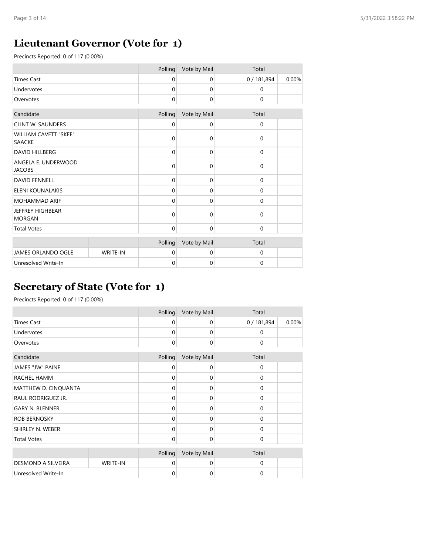## **Lieutenant Governor (Vote for 1)**

Precincts Reported: 0 of 117 (0.00%)

|                                               |                 | Polling      | Vote by Mail | Total     |       |
|-----------------------------------------------|-----------------|--------------|--------------|-----------|-------|
| <b>Times Cast</b>                             |                 | $\mathbf 0$  | 0            | 0/181,894 | 0.00% |
| Undervotes                                    |                 | $\Omega$     | $\mathbf{0}$ | $\Omega$  |       |
| Overvotes                                     |                 | $\mathbf 0$  | 0            | 0         |       |
| Candidate                                     |                 | Polling      | Vote by Mail | Total     |       |
| <b>CLINT W. SAUNDERS</b>                      |                 | 0            | 0            | 0         |       |
| <b>WILLIAM CAVETT "SKEE"</b><br><b>SAACKE</b> |                 | $\Omega$     | $\mathbf 0$  | 0         |       |
| <b>DAVID HILLBERG</b>                         |                 | 0            | $\mathbf 0$  | 0         |       |
| ANGELA E. UNDERWOOD<br><b>JACOBS</b>          |                 | $\mathbf 0$  | $\mathbf 0$  | 0         |       |
| <b>DAVID FENNELL</b>                          |                 | $\mathbf 0$  | $\mathbf 0$  | 0         |       |
| ELENI KOUNALAKIS                              |                 | $\Omega$     | $\mathbf 0$  | 0         |       |
| <b>MOHAMMAD ARIF</b>                          |                 | $\Omega$     | $\mathbf 0$  | 0         |       |
| <b>JEFFREY HIGHBEAR</b><br><b>MORGAN</b>      |                 | $\Omega$     | $\mathbf 0$  | 0         |       |
| <b>Total Votes</b>                            |                 | $\mathbf{0}$ | $\mathbf 0$  | 0         |       |
|                                               |                 | Polling      | Vote by Mail | Total     |       |
| JAMES ORLANDO OGLE                            | <b>WRITE-IN</b> | $\mathbf 0$  | 0            | 0         |       |
| Unresolved Write-In                           |                 | $\mathbf 0$  | $\mathbf 0$  | 0         |       |

## **Secretary of State (Vote for 1)**

|                        |          | Polling     | Vote by Mail | Total       |       |
|------------------------|----------|-------------|--------------|-------------|-------|
| <b>Times Cast</b>      |          | 0           | 0            | 0/181,894   | 0.00% |
| Undervotes             |          | $\mathbf 0$ | 0            | 0           |       |
| Overvotes              |          | 0           | 0            | 0           |       |
| Candidate              |          | Polling     | Vote by Mail | Total       |       |
| JAMES "JW" PAINE       |          | 0           | 0            | $\mathbf 0$ |       |
| RACHEL HAMM            |          | $\Omega$    | 0            | $\Omega$    |       |
| MATTHEW D. CINQUANTA   |          | 0           | 0            | 0           |       |
| RAUL RODRIGUEZ JR.     |          | $\mathbf 0$ | 0            | 0           |       |
| <b>GARY N. BLENNER</b> |          | $\mathbf 0$ | 0            | $\mathbf 0$ |       |
| ROB BERNOSKY           |          | $\Omega$    | 0            | $\Omega$    |       |
| SHIRLEY N. WEBER       |          | 0           | 0            | $\Omega$    |       |
| <b>Total Votes</b>     |          | $\mathbf 0$ | 0            | 0           |       |
|                        |          | Polling     | Vote by Mail | Total       |       |
| DESMOND A SILVEIRA     | WRITE-IN | $\Omega$    | 0            | $\Omega$    |       |
| Unresolved Write-In    |          | 0           | 0            | 0           |       |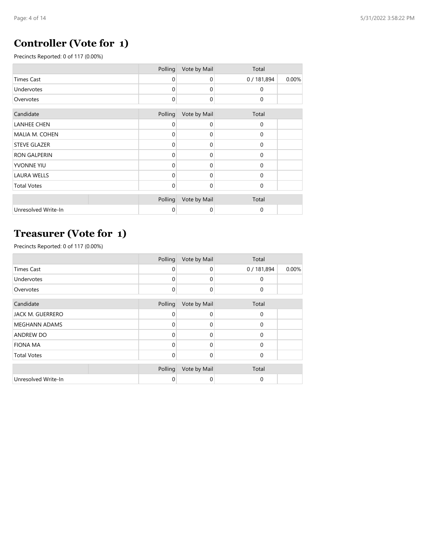### **Controller (Vote for 1)**

Precincts Reported: 0 of 117 (0.00%)

|                     | Polling     | Vote by Mail | Total       |       |
|---------------------|-------------|--------------|-------------|-------|
| <b>Times Cast</b>   | $\mathbf 0$ | 0            | 0/181,894   | 0.00% |
| Undervotes          | $\Omega$    | $\mathbf 0$  | 0           |       |
| Overvotes           | 0           | 0            | 0           |       |
| Candidate           | Polling     | Vote by Mail | Total       |       |
| <b>LANHEE CHEN</b>  | 0           | 0            | $\mathbf 0$ |       |
| MALIA M. COHEN      | $\Omega$    | $\Omega$     | $\mathbf 0$ |       |
| <b>STEVE GLAZER</b> | $\Omega$    | $\mathbf 0$  | $\mathbf 0$ |       |
| <b>RON GALPERIN</b> | $\Omega$    | $\Omega$     | $\mathbf 0$ |       |
| YVONNE YIU          | $\Omega$    | $\mathbf 0$  | $\Omega$    |       |
| <b>LAURA WELLS</b>  | $\Omega$    | $\Omega$     | $\mathbf 0$ |       |
| <b>Total Votes</b>  | 0           | 0            | $\mathbf 0$ |       |
|                     | Polling     | Vote by Mail | Total       |       |
| Unresolved Write-In | 0           | $\mathbf 0$  | $\mathbf 0$ |       |

# **Treasurer (Vote for 1)**

|                      | Polling     | Vote by Mail | Total       |       |
|----------------------|-------------|--------------|-------------|-------|
| <b>Times Cast</b>    | $\Omega$    | 0            | 0/181,894   | 0.00% |
| Undervotes           | $\Omega$    | 0            | 0           |       |
| Overvotes            | $\mathbf 0$ | 0            | $\mathbf 0$ |       |
| Candidate            | Polling     | Vote by Mail | Total       |       |
| JACK M. GUERRERO     | $\Omega$    | 0            | $\Omega$    |       |
| <b>MEGHANN ADAMS</b> | $\Omega$    | ი            | $\Omega$    |       |
| <b>ANDREW DO</b>     | $\Omega$    | 0            | $\Omega$    |       |
| <b>FIONA MA</b>      | $\Omega$    | 0            | $\Omega$    |       |
| <b>Total Votes</b>   | $\Omega$    | 0            | $\Omega$    |       |
|                      | Polling     | Vote by Mail | Total       |       |
| Unresolved Write-In  | 0           | 0            | 0           |       |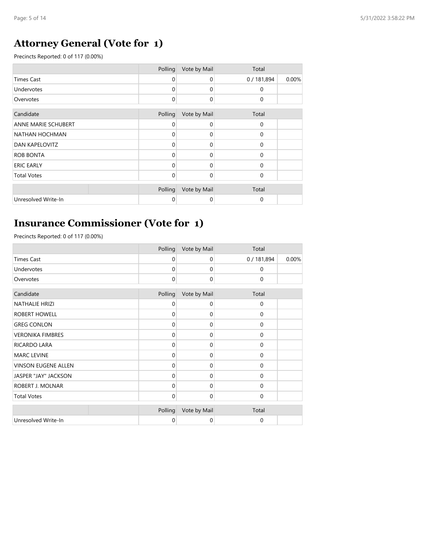# **Attorney General (Vote for 1)**

Precincts Reported: 0 of 117 (0.00%)

|                            | Polling  | Vote by Mail | Total       |       |
|----------------------------|----------|--------------|-------------|-------|
| <b>Times Cast</b>          | 0        | $\mathbf 0$  | 0/181,894   | 0.00% |
| Undervotes                 | $\Omega$ | $\Omega$     | $\Omega$    |       |
| Overvotes                  | $\Omega$ | $\Omega$     | $\Omega$    |       |
|                            |          |              |             |       |
| Candidate                  | Polling  | Vote by Mail | Total       |       |
| <b>ANNE MARIE SCHUBERT</b> | 0        | $\Omega$     | 0           |       |
| NATHAN HOCHMAN             | $\Omega$ | $\Omega$     | $\Omega$    |       |
| <b>DAN KAPELOVITZ</b>      | $\Omega$ | $\Omega$     | $\Omega$    |       |
| <b>ROB BONTA</b>           | $\Omega$ | $\Omega$     | $\mathbf 0$ |       |
| <b>ERIC EARLY</b>          | $\Omega$ | $\Omega$     | $\Omega$    |       |
| <b>Total Votes</b>         | $\Omega$ | $\Omega$     | $\Omega$    |       |
|                            |          |              |             |       |
|                            | Polling  | Vote by Mail | Total       |       |
| Unresolved Write-In        | $\Omega$ | $\Omega$     | 0           |       |

## **Insurance Commissioner (Vote for 1)**

|                         | Polling     | Vote by Mail | Total       |       |
|-------------------------|-------------|--------------|-------------|-------|
| <b>Times Cast</b>       | $\mathbf 0$ | 0            | 0/181,894   | 0.00% |
| <b>Undervotes</b>       | $\Omega$    | 0            | 0           |       |
| Overvotes               | $\mathbf 0$ | $\mathbf 0$  | 0           |       |
| Candidate               | Polling     | Vote by Mail | Total       |       |
| <b>NATHALIE HRIZI</b>   | 0           | 0            | 0           |       |
| ROBERT HOWELL           | $\Omega$    | 0            | $\Omega$    |       |
| <b>GREG CONLON</b>      | $\Omega$    | $\Omega$     | $\Omega$    |       |
| <b>VERONIKA FIMBRES</b> | $\Omega$    | 0            | 0           |       |
| RICARDO LARA            | $\mathbf 0$ | 0            | 0           |       |
| <b>MARC LEVINE</b>      | $\mathbf 0$ | 0            | $\mathbf 0$ |       |
| VINSON EUGENE ALLEN     | $\mathbf 0$ | 0            | $\mathbf 0$ |       |
| JASPER "JAY" JACKSON    | $\Omega$    | 0            | 0           |       |
| ROBERT J. MOLNAR        | $\mathbf 0$ | 0            | 0           |       |
| <b>Total Votes</b>      | $\Omega$    | 0            | 0           |       |
|                         | Polling     | Vote by Mail | Total       |       |
| Unresolved Write-In     | 0           | 0            | 0           |       |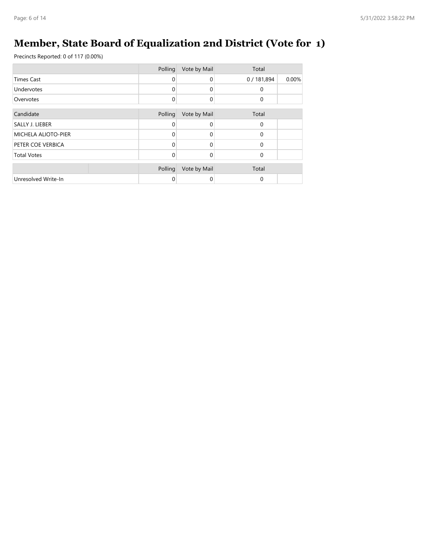# **Member, State Board of Equalization 2nd District (Vote for 1)**

|                     | Polling     | Vote by Mail | Total     |       |
|---------------------|-------------|--------------|-----------|-------|
| <b>Times Cast</b>   | $\Omega$    | $\Omega$     | 0/181,894 | 0.00% |
| Undervotes          | $\mathbf 0$ | 0            | 0         |       |
| Overvotes           | $\mathbf 0$ | $\mathbf 0$  | 0         |       |
|                     |             |              |           |       |
| Candidate           | Polling     | Vote by Mail | Total     |       |
| SALLY J. LIEBER     | $\Omega$    | $\Omega$     | 0         |       |
| MICHELA ALIOTO-PIER | $\Omega$    | $\mathbf 0$  | 0         |       |
| PETER COE VERBICA   | $\Omega$    | $\Omega$     | $\Omega$  |       |
| <b>Total Votes</b>  | $\Omega$    | 0            | 0         |       |
|                     | Polling     | Vote by Mail | Total     |       |
| Unresolved Write-In | 0           | 0            | 0         |       |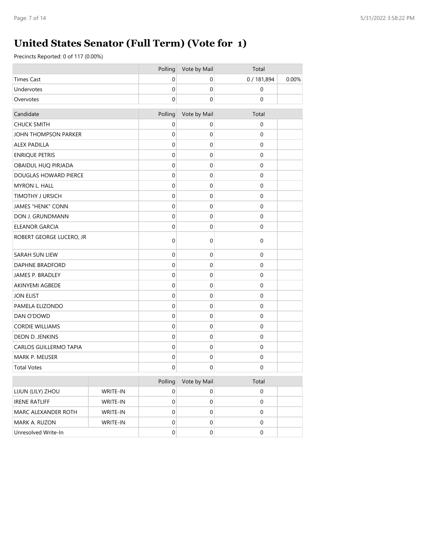# **United States Senator (Full Term) (Vote for 1)**

|                          |          | Polling     | Vote by Mail     | Total       |       |
|--------------------------|----------|-------------|------------------|-------------|-------|
| <b>Times Cast</b>        |          | $\mathbf 0$ | $\mathbf 0$      | 0 / 181,894 | 0.00% |
| Undervotes               |          | $\mathbf 0$ | $\boldsymbol{0}$ | $\mathbf 0$ |       |
| Overvotes                |          | $\mathbf 0$ | $\mathbf 0$      | 0           |       |
| Candidate                |          | Polling     | Vote by Mail     | Total       |       |
| <b>CHUCK SMITH</b>       |          | 0           | 0                | 0           |       |
| JOHN THOMPSON PARKER     |          | 0           | 0                | 0           |       |
| <b>ALEX PADILLA</b>      |          | 0           | 0                | 0           |       |
| <b>ENRIQUE PETRIS</b>    |          | $\mathbf 0$ | 0                | $\mathbf 0$ |       |
| OBAIDUL HUQ PIRJADA      |          | $\mathbf 0$ | $\mathbf 0$      | $\mathbf 0$ |       |
| DOUGLAS HOWARD PIERCE    |          | $\mathbf 0$ | 0                | $\mathbf 0$ |       |
| <b>MYRON L. HALL</b>     |          | $\mathbf 0$ | $\mathbf 0$      | $\mathbf 0$ |       |
| <b>TIMOTHY J URSICH</b>  |          | $\mathbf 0$ | 0                | 0           |       |
| <b>JAMES "HENK" CONN</b> |          | $\mathbf 0$ | 0                | $\mathbf 0$ |       |
| DON J. GRUNDMANN         |          | 0           | 0                | 0           |       |
| <b>ELEANOR GARCIA</b>    |          | 0           | 0                | $\mathbf 0$ |       |
| ROBERT GEORGE LUCERO, JR |          | 0           | 0                | $\mathbf 0$ |       |
| SARAH SUN LIEW           |          | $\mathbf 0$ | 0                | $\mathbf 0$ |       |
| <b>DAPHNE BRADFORD</b>   |          | $\mathbf 0$ | 0                | $\mathbf 0$ |       |
| JAMES P. BRADLEY         |          | 0           | 0                | 0           |       |
| AKINYEMI AGBEDE          |          | $\mathbf 0$ | 0                | $\mathbf 0$ |       |
| <b>JON ELIST</b>         |          | $\mathbf 0$ | $\mathbf 0$      | $\mathbf 0$ |       |
| PAMELA ELIZONDO          |          | $\mathbf 0$ | 0                | $\mathbf 0$ |       |
| DAN O'DOWD               |          | $\mathbf 0$ | $\mathbf 0$      | $\mathbf 0$ |       |
| <b>CORDIE WILLIAMS</b>   |          | $\mathbf 0$ | 0                | $\mathbf 0$ |       |
| DEON D. JENKINS          |          | $\mathbf 0$ | $\mathbf 0$      | $\mathbf 0$ |       |
| CARLOS GUILLERMO TAPIA   |          | $\mathbf 0$ | 0                | 0           |       |
| MARK P. MEUSER           |          | 0           | 0                | $\mathbf 0$ |       |
| <b>Total Votes</b>       |          | 0           | 0                | 0           |       |
|                          |          | Polling     | Vote by Mail     | Total       |       |
| LIJUN (LILY) ZHOU        | WRITE-IN | $\mathbf 0$ | $\boldsymbol{0}$ | $\mathbf 0$ |       |
| <b>IRENE RATLIFF</b>     | WRITE-IN | $\pmb{0}$   | $\pmb{0}$        | $\mathbf 0$ |       |
| MARC ALEXANDER ROTH      | WRITE-IN | $\mathbf 0$ | $\pmb{0}$        | $\mathbf 0$ |       |
| MARK A. RUZON            | WRITE-IN | $\mathbf 0$ | $\mathbf 0$      | $\mathbf 0$ |       |
| Unresolved Write-In      |          | $\mathbf 0$ | $\pmb{0}$        | $\mathbf 0$ |       |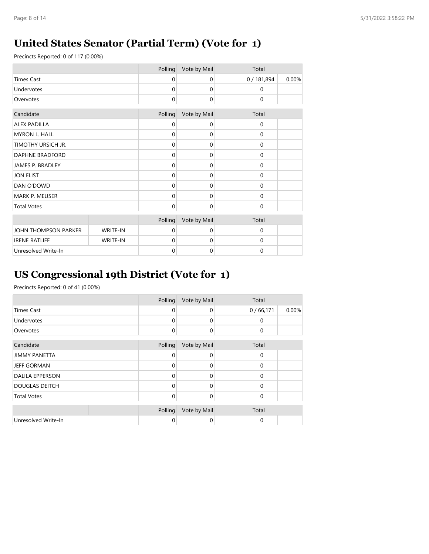## **United States Senator (Partial Term) (Vote for 1)**

Precincts Reported: 0 of 117 (0.00%)

|                        |          | Polling     | Vote by Mail | Total     |       |
|------------------------|----------|-------------|--------------|-----------|-------|
| <b>Times Cast</b>      |          | $\mathbf 0$ | $\mathbf 0$  | 0/181,894 | 0.00% |
| Undervotes             |          | 0           | $\mathbf 0$  | 0         |       |
| Overvotes              |          | 0           | $\mathbf 0$  | $\pmb{0}$ |       |
| Candidate              |          | Polling     | Vote by Mail | Total     |       |
| <b>ALEX PADILLA</b>    |          | 0           | 0            | 0         |       |
| MYRON L. HALL          |          | 0           | $\mathbf 0$  | 0         |       |
| TIMOTHY URSICH JR.     |          | 0           | $\mathbf 0$  | 0         |       |
| <b>DAPHNE BRADFORD</b> |          | 0           | $\mathbf 0$  | 0         |       |
| JAMES P. BRADLEY       |          | 0           | $\mathbf 0$  | 0         |       |
| <b>JON ELIST</b>       |          | 0           | $\mathbf 0$  | 0         |       |
| DAN O'DOWD             |          | 0           | $\mathbf 0$  | 0         |       |
| MARK P. MEUSER         |          | 0           | $\mathbf 0$  | 0         |       |
| <b>Total Votes</b>     |          | 0           | $\mathbf 0$  | 0         |       |
|                        |          | Polling     | Vote by Mail | Total     |       |
| JOHN THOMPSON PARKER   | WRITE-IN | $\Omega$    | $\mathbf 0$  | 0         |       |
| <b>IRENE RATLIFF</b>   | WRITE-IN | $\Omega$    | $\Omega$     | 0         |       |
| Unresolved Write-In    |          | $\mathbf 0$ | $\mathbf 0$  | 0         |       |

## **US Congressional 19th District (Vote for 1)**

|                        | Polling     | Vote by Mail | Total    |       |
|------------------------|-------------|--------------|----------|-------|
| <b>Times Cast</b>      | $\Omega$    | 0            | 0/66,171 | 0.00% |
| Undervotes             | 0           | 0            | 0        |       |
| Overvotes              | $\mathbf 0$ | 0            | 0        |       |
| Candidate              | Polling     | Vote by Mail | Total    |       |
| <b>JIMMY PANETTA</b>   | 0           | 0            | 0        |       |
| <b>JEFF GORMAN</b>     | $\Omega$    | 0            | 0        |       |
| <b>DALILA EPPERSON</b> | $\Omega$    | 0            | 0        |       |
| <b>DOUGLAS DEITCH</b>  | $\Omega$    | 0            | 0        |       |
| <b>Total Votes</b>     | $\Omega$    | 0            | 0        |       |
|                        | Polling     | Vote by Mail | Total    |       |
| Unresolved Write-In    | 0           | 0            | 0        |       |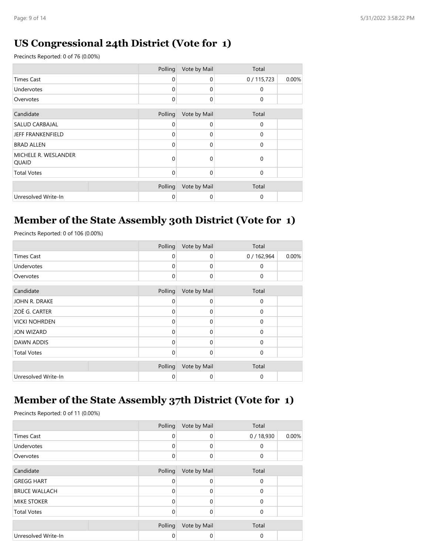#### **US Congressional 24th District (Vote for 1)**

Precincts Reported: 0 of 76 (0.00%)

|                               | Polling | Vote by Mail | Total       |       |
|-------------------------------|---------|--------------|-------------|-------|
| <b>Times Cast</b>             | 0       | $\mathbf 0$  | 0/115,723   | 0.00% |
| Undervotes                    | 0       | $\Omega$     | $\mathbf 0$ |       |
| Overvotes                     | 0       | $\Omega$     | $\mathbf 0$ |       |
|                               |         |              |             |       |
| Candidate                     | Polling | Vote by Mail | Total       |       |
| <b>SALUD CARBAJAL</b>         | 0       | $\Omega$     | $\mathbf 0$ |       |
| <b>JEFF FRANKENFIELD</b>      | 0       | $\Omega$     | $\mathbf 0$ |       |
| <b>BRAD ALLEN</b>             | 0       | $\Omega$     | $\Omega$    |       |
| MICHELE R. WESLANDER<br>QUAID | 0       | $\Omega$     | $\mathbf 0$ |       |
| <b>Total Votes</b>            | 0       | $\Omega$     | $\Omega$    |       |
|                               |         |              |             |       |
|                               | Polling | Vote by Mail | Total       |       |
| Unresolved Write-In           | 0       | 0            | $\Omega$    |       |

## **Member of the State Assembly 30th District (Vote for 1)**

Precincts Reported: 0 of 106 (0.00%)

|                      | Polling     | Vote by Mail | Total     |       |
|----------------------|-------------|--------------|-----------|-------|
| <b>Times Cast</b>    | $\mathbf 0$ | 0            | 0/162,964 | 0.00% |
| <b>Undervotes</b>    | $\Omega$    | 0            | 0         |       |
| Overvotes            | $\mathbf 0$ | 0            | 0         |       |
| Candidate            | Polling     | Vote by Mail | Total     |       |
| JOHN R. DRAKE        | 0           | 0            | 0         |       |
| <b>ZOË G. CARTER</b> | 0           | 0            | 0         |       |
| <b>VICKI NOHRDEN</b> | 0           | 0            | 0         |       |
| <b>JON WIZARD</b>    | 0           | 0            | 0         |       |
| DAWN ADDIS           | $\Omega$    | 0            | 0         |       |
| <b>Total Votes</b>   | 0           | 0            | 0         |       |
|                      | Polling     | Vote by Mail | Total     |       |
| Unresolved Write-In  | 0           | 0            | 0         |       |

#### **Member of the State Assembly 37th District (Vote for 1)**

|                      | Polling  | Vote by Mail | Total    |       |
|----------------------|----------|--------------|----------|-------|
| <b>Times Cast</b>    | 0        | $\mathbf 0$  | 0/18,930 | 0.00% |
| Undervotes           | $\Omega$ | $\Omega$     | 0        |       |
| Overvotes            | $\Omega$ | 0            | 0        |       |
| Candidate            | Polling  | Vote by Mail | Total    |       |
| <b>GREGG HART</b>    | $\Omega$ | $\Omega$     | 0        |       |
| <b>BRUCE WALLACH</b> | $\Omega$ | $\Omega$     | 0        |       |
| <b>MIKE STOKER</b>   | $\Omega$ | 0            | 0        |       |
| <b>Total Votes</b>   | $\Omega$ | $\Omega$     | 0        |       |
|                      | Polling  | Vote by Mail | Total    |       |
| Unresolved Write-In  | 0        | 0            | 0        |       |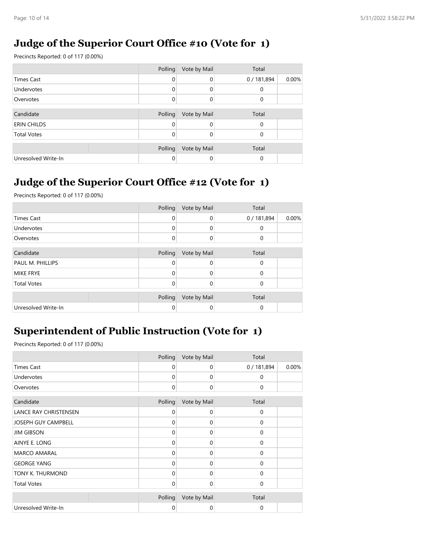#### **Judge of the Superior Court Office #10 (Vote for 1)**

Precincts Reported: 0 of 117 (0.00%)

|                     | Polling  | Vote by Mail | Total     |       |
|---------------------|----------|--------------|-----------|-------|
| <b>Times Cast</b>   | 0        | 0            | 0/181,894 | 0.00% |
| Undervotes          | $\Omega$ | 0            | $\Omega$  |       |
| Overvotes           | $\Omega$ | 0            | $\Omega$  |       |
|                     |          |              |           |       |
| Candidate           | Polling  | Vote by Mail | Total     |       |
| <b>ERIN CHILDS</b>  | 0        |              | 0         |       |
| <b>Total Votes</b>  | O        |              | $\Omega$  |       |
|                     |          |              |           |       |
|                     | Polling  | Vote by Mail | Total     |       |
| Unresolved Write-In | 0        | 0            | 0         |       |

## **Judge of the Superior Court Office #12 (Vote for 1)**

Precincts Reported: 0 of 117 (0.00%)

|                     | Polling     | Vote by Mail | Total     |       |
|---------------------|-------------|--------------|-----------|-------|
| <b>Times Cast</b>   | 0           | $\Omega$     | 0/181,894 | 0.00% |
| Undervotes          | 0           | 0            | $\Omega$  |       |
| Overvotes           | $\mathbf 0$ | $\Omega$     | $\Omega$  |       |
|                     |             |              |           |       |
| Candidate           | Polling     | Vote by Mail | Total     |       |
| PAUL M. PHILLIPS    | 0           | 0            | $\Omega$  |       |
| <b>MIKE FRYE</b>    | 0           | $\Omega$     | $\Omega$  |       |
| <b>Total Votes</b>  | $\Omega$    | $\Omega$     | $\Omega$  |       |
|                     | Polling     | Vote by Mail | Total     |       |
| Unresolved Write-In | 0           | 0            | 0         |       |

#### **Superintendent of Public Instruction (Vote for 1)**

|                       | Polling      | Vote by Mail | Total       |       |
|-----------------------|--------------|--------------|-------------|-------|
| <b>Times Cast</b>     | 0            | 0            | 0/181,894   | 0.00% |
| Undervotes            | 0            | 0            | 0           |       |
| Overvotes             | $\mathbf 0$  | 0            | 0           |       |
| Candidate             | Polling      | Vote by Mail | Total       |       |
| LANCE RAY CHRISTENSEN | 0            | 0            | 0           |       |
| JOSEPH GUY CAMPBELL   | $\mathbf 0$  | 0            | $\mathbf 0$ |       |
| <b>JIM GIBSON</b>     | $\Omega$     | 0            | 0           |       |
| AINYE E. LONG         | $\Omega$     | 0            | $\mathbf 0$ |       |
| <b>MARCO AMARAL</b>   | $\Omega$     | 0            | 0           |       |
| <b>GEORGE YANG</b>    | $\Omega$     | 0            | 0           |       |
| TONY K. THURMOND      | $\Omega$     | 0            | 0           |       |
| <b>Total Votes</b>    | $\mathbf{0}$ | 0            | 0           |       |
|                       | Polling      | Vote by Mail | Total       |       |
| Unresolved Write-In   | 0            | 0            | 0           |       |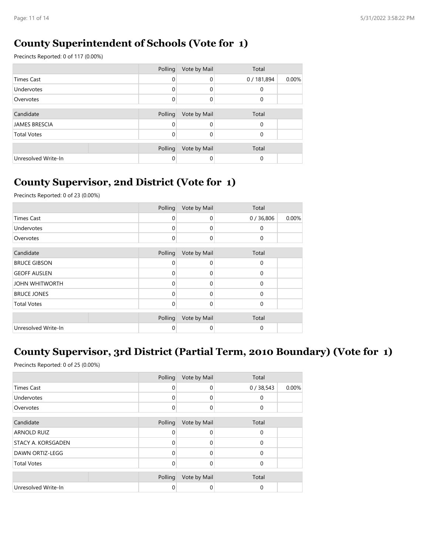#### **County Superintendent of Schools (Vote for 1)**

Precincts Reported: 0 of 117 (0.00%)

|                      | Polling  | Vote by Mail | Total     |       |
|----------------------|----------|--------------|-----------|-------|
| Times Cast           | 0        | $\Omega$     | 0/181,894 | 0.00% |
| Undervotes           | 0        | $\Omega$     | 0         |       |
| Overvotes            | $\Omega$ | 0            | $\Omega$  |       |
|                      |          |              |           |       |
| Candidate            | Polling  | Vote by Mail | Total     |       |
| <b>JAMES BRESCIA</b> | 0        | 0            | 0         |       |
| <b>Total Votes</b>   | $\Omega$ | $\Omega$     | $\Omega$  |       |
|                      |          |              |           |       |
|                      | Polling  | Vote by Mail | Total     |       |
| Unresolved Write-In  | 0        | 0            | 0         |       |

## **County Supervisor, 2nd District (Vote for 1)**

Precincts Reported: 0 of 23 (0.00%)

|                       | Polling     | Vote by Mail | Total       |       |
|-----------------------|-------------|--------------|-------------|-------|
| <b>Times Cast</b>     | $\Omega$    | 0            | 0/36,806    | 0.00% |
| Undervotes            | 0           | 0            | $\Omega$    |       |
| Overvotes             | $\mathbf 0$ | 0            | $\mathbf 0$ |       |
| Candidate             | Polling     | Vote by Mail | Total       |       |
| <b>BRUCE GIBSON</b>   | $\Omega$    | $\Omega$     | $\Omega$    |       |
| <b>GEOFF AUSLEN</b>   | $\Omega$    | $\Omega$     | $\Omega$    |       |
| <b>JOHN WHITWORTH</b> | $\Omega$    | $\Omega$     | $\Omega$    |       |
| <b>BRUCE JONES</b>    | $\Omega$    | $\Omega$     | $\Omega$    |       |
| <b>Total Votes</b>    | $\mathbf 0$ | 0            | $\Omega$    |       |
|                       | Polling     | Vote by Mail | Total       |       |
| Unresolved Write-In   | 0           | 0            | 0           |       |

## **County Supervisor, 3rd District (Partial Term, 2010 Boundary) (Vote for 1)**

|                           | Polling | Vote by Mail | Total       |       |
|---------------------------|---------|--------------|-------------|-------|
| Times Cast                | 0       | $\mathbf 0$  | 0/38,543    | 0.00% |
| Undervotes                | 0       | $\mathbf 0$  | 0           |       |
| Overvotes                 | 0       | $\mathbf 0$  | $\mathbf 0$ |       |
| Candidate                 | Polling | Vote by Mail | Total       |       |
| <b>ARNOLD RUIZ</b>        | O       | $\mathbf 0$  | 0           |       |
| <b>STACY A. KORSGADEN</b> | O       | $\Omega$     | $\Omega$    |       |
| DAWN ORTIZ-LEGG           | 0       | $\Omega$     | $\Omega$    |       |
| <b>Total Votes</b>        | 0       | $\mathbf 0$  | 0           |       |
|                           | Polling | Vote by Mail | Total       |       |
| Unresolved Write-In       | 0       | $\mathbf 0$  | 0           |       |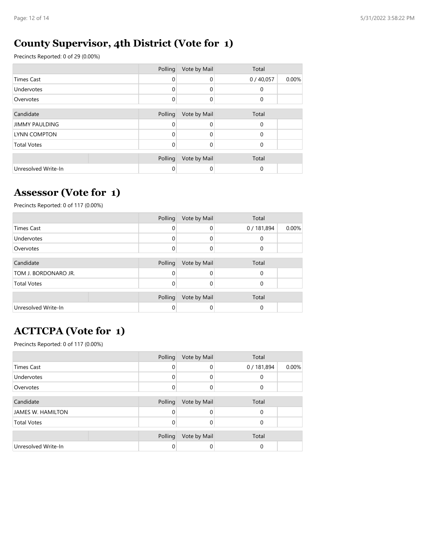### **County Supervisor, 4th District (Vote for 1)**

Precincts Reported: 0 of 29 (0.00%)

|                       | Polling | Vote by Mail | Total    |       |
|-----------------------|---------|--------------|----------|-------|
| <b>Times Cast</b>     | 0       | $\Omega$     | 0/40,057 | 0.00% |
| <b>Undervotes</b>     | 0       | $\Omega$     | 0        |       |
| Overvotes             | 0       | $\Omega$     | 0        |       |
|                       |         |              |          |       |
| Candidate             | Polling | Vote by Mail | Total    |       |
| <b>JIMMY PAULDING</b> | 0       | $\Omega$     | $\Omega$ |       |
| LYNN COMPTON          | 0       | $\Omega$     | $\Omega$ |       |
| <b>Total Votes</b>    | 0       | $\Omega$     | $\Omega$ |       |
|                       |         |              |          |       |
|                       | Polling | Vote by Mail | Total    |       |
| Unresolved Write-In   | 0       | 0            | 0        |       |

#### **Assessor (Vote for 1)**

Precincts Reported: 0 of 117 (0.00%)

|                      | Polling  | Vote by Mail | Total     |       |
|----------------------|----------|--------------|-----------|-------|
| <b>Times Cast</b>    | 0        | 0            | 0/181,894 | 0.00% |
| Undervotes           | 0        | 0            | 0         |       |
| Overvotes            | $\Omega$ | 0            | 0         |       |
|                      |          |              |           |       |
| Candidate            | Polling  | Vote by Mail | Total     |       |
| TOM J. BORDONARO JR. | 0        |              | 0         |       |
| <b>Total Votes</b>   | O        | Ω            | 0         |       |
|                      | Polling  | Vote by Mail | Total     |       |
| Unresolved Write-In  | 0        | 0            | 0         |       |

## **ACTTCPA (Vote for 1)**

|                          | Polling  | Vote by Mail | Total     |       |
|--------------------------|----------|--------------|-----------|-------|
| <b>Times Cast</b>        | $\Omega$ | $\Omega$     | 0/181,894 | 0.00% |
| Undervotes               | 0        | $\Omega$     | 0         |       |
| Overvotes                | 0        | $\Omega$     | $\Omega$  |       |
|                          |          |              |           |       |
| Candidate                | Polling  | Vote by Mail | Total     |       |
| <b>JAMES W. HAMILTON</b> | 0        | 0            | $\Omega$  |       |
| <b>Total Votes</b>       | $\Omega$ | 0            | 0         |       |
|                          |          |              |           |       |
|                          | Polling  | Vote by Mail | Total     |       |
| Unresolved Write-In      | 0        | 0            | $\Omega$  |       |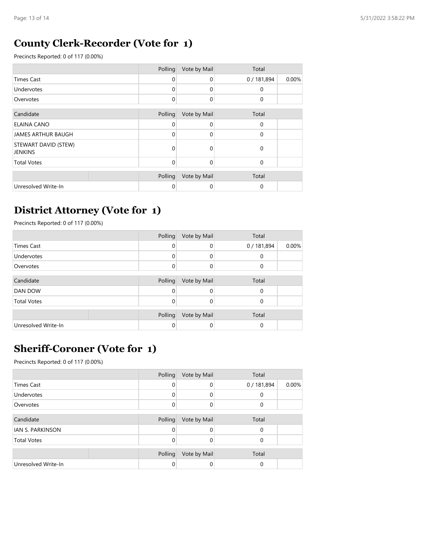#### **County Clerk-Recorder (Vote for 1)**

Precincts Reported: 0 of 117 (0.00%)

|                                        | Polling  | Vote by Mail | Total       |       |
|----------------------------------------|----------|--------------|-------------|-------|
| <b>Times Cast</b>                      | $\Omega$ | $\Omega$     | 0/181,894   | 0.00% |
| Undervotes                             | 0        | $\Omega$     | $\Omega$    |       |
| Overvotes                              | $\Omega$ | $\Omega$     | 0           |       |
| Candidate                              | Polling  | Vote by Mail | Total       |       |
| <b>ELAINA CANO</b>                     | 0        | $\Omega$     | $\mathbf 0$ |       |
| JAMES ARTHUR BAUGH                     | 0        | $\Omega$     | $\mathbf 0$ |       |
| STEWART DAVID (STEW)<br><b>JENKINS</b> | 0        | $\Omega$     | $\mathbf 0$ |       |
| <b>Total Votes</b>                     | $\Omega$ | $\Omega$     | $\Omega$    |       |
|                                        | Polling  | Vote by Mail | Total       |       |
| Unresolved Write-In                    | 0        | $\Omega$     | 0           |       |

#### **District Attorney (Vote for 1)**

Precincts Reported: 0 of 117 (0.00%)

|                     | Polling  | Vote by Mail | Total     |       |
|---------------------|----------|--------------|-----------|-------|
| <b>Times Cast</b>   | 0        | 0            | 0/181,894 | 0.00% |
| Undervotes          | $\Omega$ | 0            | 0         |       |
| Overvotes           | $\Omega$ | 0            | 0         |       |
|                     |          |              |           |       |
| Candidate           | Polling  | Vote by Mail | Total     |       |
| <b>DAN DOW</b>      | $\Omega$ | 0            | 0         |       |
| <b>Total Votes</b>  | 0        | 0            | 0         |       |
|                     |          |              |           |       |
|                     | Polling  | Vote by Mail | Total     |       |
| Unresolved Write-In |          | 0            | 0         |       |

### **Sheriff-Coroner (Vote for 1)**

|                     | Polling  | Vote by Mail | Total     |       |
|---------------------|----------|--------------|-----------|-------|
| <b>Times Cast</b>   | $\Omega$ | 0            | 0/181,894 | 0.00% |
| Undervotes          | $\Omega$ | 0            | 0         |       |
| Overvotes           | $\Omega$ | 0            | 0         |       |
|                     |          |              |           |       |
| Candidate           | Polling  | Vote by Mail | Total     |       |
| IAN S. PARKINSON    | $\Omega$ | 0            | 0         |       |
| <b>Total Votes</b>  | 0        | 0            | 0         |       |
|                     | Polling  | Vote by Mail | Total     |       |
| Unresolved Write-In | 0        | 0            | 0         |       |